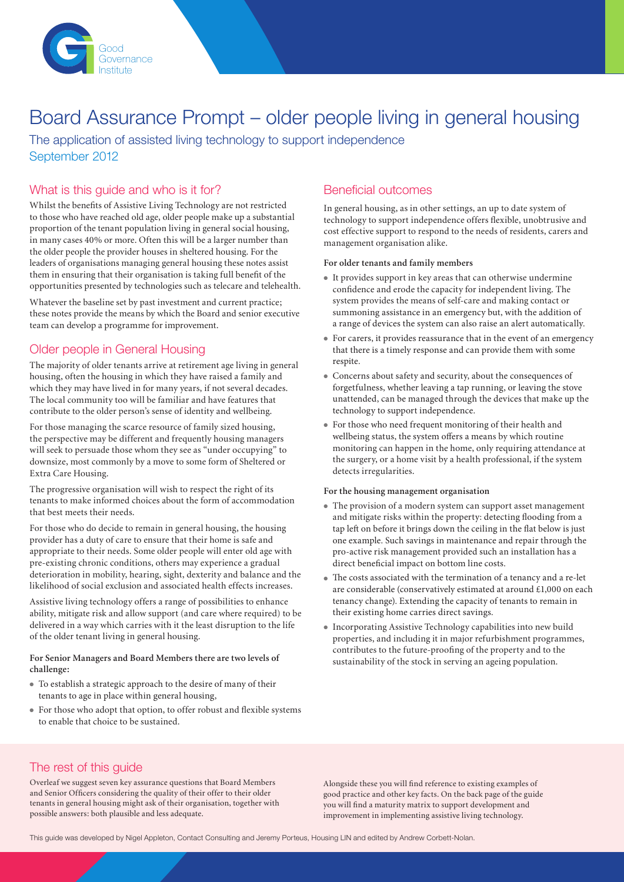

# Board Assurance Prompt – older people living in general housing

The application of assisted living technology to support independence September 2012

# What is this guide and who is it for?

Whilst the benefits of Assistive Living Technology are not restricted to those who have reached old age, older people make up a substantial proportion of the tenant population living in general social housing, in many cases 40% or more. Often this will be a larger number than the older people the provider houses in sheltered housing. For the leaders of organisations managing general housing these notes assist them in ensuring that their organisation is taking full benefit of the opportunities presented by technologies such as telecare and telehealth.

Whatever the baseline set by past investment and current practice; these notes provide the means by which the Board and senior executive team can develop a programme for improvement.

# Older people in General Housing

The majority of older tenants arrive at retirement age living in general housing, often the housing in which they have raised a family and which they may have lived in for many years, if not several decades. The local community too will be familiar and have features that contribute to the older person's sense of identity and wellbeing.

For those managing the scarce resource of family sized housing, the perspective may be different and frequently housing managers will seek to persuade those whom they see as "under occupying" to downsize, most commonly by a move to some form of Sheltered or Extra Care Housing.

The progressive organisation will wish to respect the right of its tenants to make informed choices about the form of accommodation that best meets their needs.

For those who do decide to remain in general housing, the housing provider has a duty of care to ensure that their home is safe and appropriate to their needs. Some older people will enter old age with pre-existing chronic conditions, others may experience a gradual deterioration in mobility, hearing, sight, dexterity and balance and the likelihood of social exclusion and associated health effects increases.

Assistive living technology offers a range of possibilities to enhance ability, mitigate risk and allow support (and care where required) to be delivered in a way which carries with it the least disruption to the life of the older tenant living in general housing.

## **For Senior Managers and Board Members there are two levels of challenge:**

- $\bullet$  To establish a strategic approach to the desire of many of their tenants to age in place within general housing,
- <sup>l</sup> For those who adopt that option, to offer robust and flexible systems to enable that choice to be sustained.

# Beneficial outcomes

In general housing, as in other settings, an up to date system of technology to support independence offers flexible, unobtrusive and cost effective support to respond to the needs of residents, carers and management organisation alike.

## **For older tenants and family members**

- $\bullet$  It provides support in key areas that can otherwise undermine confidence and erode the capacity for independent living. The system provides the means of self-care and making contact or summoning assistance in an emergency but, with the addition of a range of devices the system can also raise an alert automatically.
- For carers, it provides reassurance that in the event of an emergency that there is a timely response and can provide them with some respite.
- Concerns about safety and security, about the consequences of forgetfulness, whether leaving a tap running, or leaving the stove unattended, can be managed through the devices that make up the technology to support independence.
- $\bullet~$  For those who need frequent monitoring of their health and wellbeing status, the system offers a means by which routine monitoring can happen in the home, only requiring attendance at the surgery, or a home visit by a health professional, if the system detects irregularities.

### **For the housing management organisation**

- The provision of a modern system can support asset management and mitigate risks within the property: detecting flooding from a tap left on before it brings down the ceiling in the flat below is just one example. Such savings in maintenance and repair through the pro-active risk management provided such an installation has a direct beneficial impact on bottom line costs.
- $\bullet~$  The costs associated with the termination of a tenancy and a re-let are considerable (conservatively estimated at around £1,000 on each tenancy change). Extending the capacity of tenants to remain in their existing home carries direct savings.
- <sup>l</sup> Incorporating Assistive Technology capabilities into new build properties, and including it in major refurbishment programmes, contributes to the future-proofing of the property and to the sustainability of the stock in serving an ageing population.

# The rest of this guide

Overleaf we suggest seven key assurance questions that Board Members and Senior Officers considering the quality of their offer to their older tenants in general housing might ask of their organisation, together with possible answers: both plausible and less adequate.

Alongside these you will find reference to existing examples of good practice and other key facts. On the back page of the guide you will find a maturity matrix to support development and improvement in implementing assistive living technology.

This guide was developed by Nigel Appleton, Contact Consulting and Jeremy Porteus, Housing LIN and edited by Andrew Corbett-Nolan.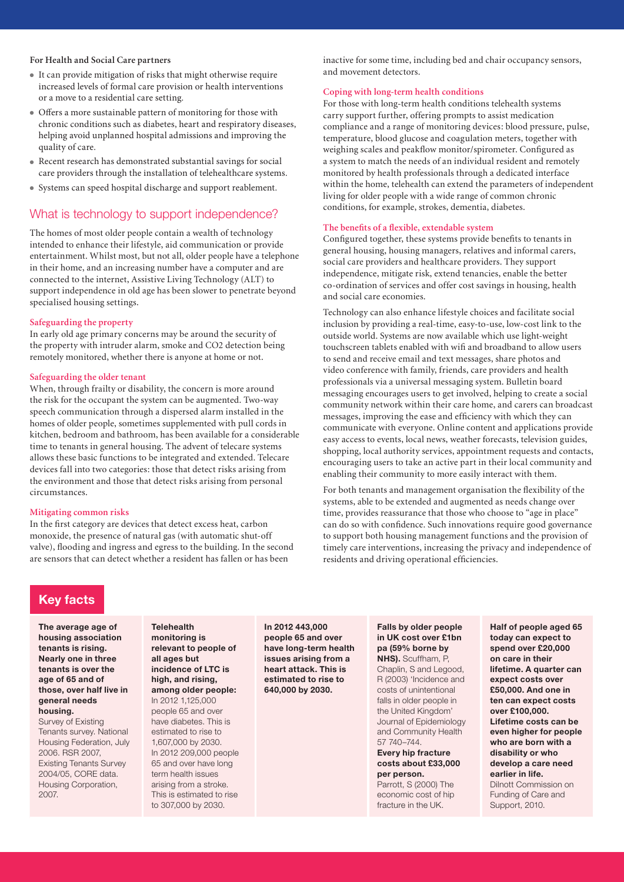#### **For Health and Social Care partners**

- <sup>l</sup> It can provide mitigation of risks that might otherwise require increased levels of formal care provision or health interventions or a move to a residential care setting.
- <sup>l</sup> Offers a more sustainable pattern of monitoring for those with chronic conditions such as diabetes, heart and respiratory diseases, helping avoid unplanned hospital admissions and improving the quality of care.
- <sup>l</sup> Recent research has demonstrated substantial savings for social care providers through the installation of telehealthcare systems.
- Systems can speed hospital discharge and support reablement.

## What is technology to support independence?

The homes of most older people contain a wealth of technology intended to enhance their lifestyle, aid communication or provide entertainment. Whilst most, but not all, older people have a telephone in their home, and an increasing number have a computer and are connected to the internet, Assistive Living Technology (ALT) to support independence in old age has been slower to penetrate beyond specialised housing settings.

#### **Safeguarding the property**

In early old age primary concerns may be around the security of the property with intruder alarm, smoke and CO2 detection being remotely monitored, whether there is anyone at home or not.

#### **Safeguarding the older tenant**

When, through frailty or disability, the concern is more around the risk for the occupant the system can be augmented. Two-way speech communication through a dispersed alarm installed in the homes of older people, sometimes supplemented with pull cords in kitchen, bedroom and bathroom, has been available for a considerable time to tenants in general housing. The advent of telecare systems allows these basic functions to be integrated and extended. Telecare devices fall into two categories: those that detect risks arising from the environment and those that detect risks arising from personal circumstances.

#### **Mitigating common risks**

In the first category are devices that detect excess heat, carbon monoxide, the presence of natural gas (with automatic shut-off valve), flooding and ingress and egress to the building. In the second are sensors that can detect whether a resident has fallen or has been

**Telehealth** 

inactive for some time, including bed and chair occupancy sensors, and movement detectors.

## **Coping with long-term health conditions**

For those with long-term health conditions telehealth systems carry support further, offering prompts to assist medication compliance and a range of monitoring devices: blood pressure, pulse, temperature, blood glucose and coagulation meters, together with weighing scales and peakflow monitor/spirometer. Configured as a system to match the needs of an individual resident and remotely monitored by health professionals through a dedicated interface within the home, telehealth can extend the parameters of independent living for older people with a wide range of common chronic conditions, for example, strokes, dementia, diabetes.

### **The benefits of a flexible, extendable system**

Configured together, these systems provide benefits to tenants in general housing, housing managers, relatives and informal carers, social care providers and healthcare providers. They support independence, mitigate risk, extend tenancies, enable the better co-ordination of services and offer cost savings in housing, health and social care economies.

Technology can also enhance lifestyle choices and facilitate social inclusion by providing a real-time, easy-to-use, low-cost link to the outside world. Systems are now available which use light-weight touchscreen tablets enabled with wifi and broadband to allow users to send and receive email and text messages, share photos and video conference with family, friends, care providers and health professionals via a universal messaging system. Bulletin board messaging encourages users to get involved, helping to create a social community network within their care home, and carers can broadcast messages, improving the ease and efficiency with which they can communicate with everyone. Online content and applications provide easy access to events, local news, weather forecasts, television guides, shopping, local authority services, appointment requests and contacts, encouraging users to take an active part in their local community and enabling their community to more easily interact with them.

For both tenants and management organisation the flexibility of the systems, able to be extended and augmented as needs change over time, provides reassurance that those who choose to "age in place" can do so with confidence. Such innovations require good governance to support both housing management functions and the provision of timely care interventions, increasing the privacy and independence of residents and driving operational efficiencies.

## **Key facts**

**The average age of housing association tenants is rising. Nearly one in three tenants is over the age of 65 and of those, over half live in general needs housing.**

Survey of Existing Tenants survey. National Housing Federation, July 2006. RSR 2007, Existing Tenants Survey 2004/05, CORE data. Housing Corporation, 2007.

**monitoring is relevant to people of all ages but incidence of LTC is high, and rising, among older people:**  In 2012 1,125,000 people 65 and over have diabetes. This is estimated to rise to 1,607,000 by 2030. In 2012 209,000 people 65 and over have long term health issues arising from a stroke. This is estimated to rise to 307,000 by 2030.

**In 2012 443,000 people 65 and over have long-term health issues arising from a heart attack. This is estimated to rise to 640,000 by 2030.**

**Falls by older people in UK cost over £1bn pa (59% borne by NHS).** Scuffham, P,

Chaplin, S and Legood, R (2003) 'Incidence and costs of unintentional falls in older people in the United Kingdom' Journal of Epidemiology and Community Health 57 740–744. **Every hip fracture costs about £33,000 per person.**

Parrott, S (2000) The economic cost of hip fracture in the UK.

**Half of people aged 65 today can expect to spend over £20,000 on care in their lifetime. A quarter can expect costs over £50,000. And one in ten can expect costs over £100,000. Lifetime costs can be even higher for people who are born with a disability or who develop a care need earlier in life.** Dilnott Commission on Funding of Care and Support, 2010.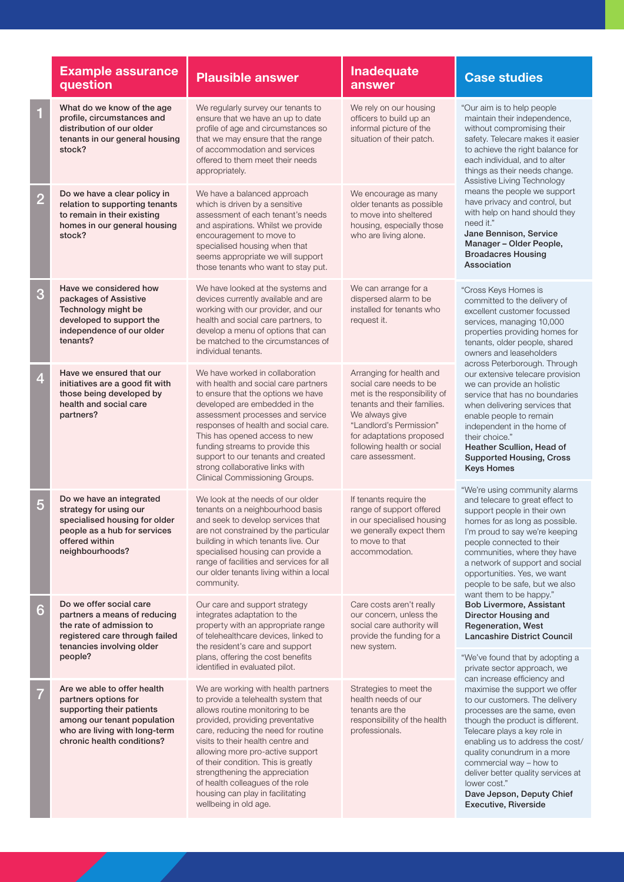|                | <b>Example assurance</b><br>question                                                                                                                                           | <b>Plausible answer</b>                                                                                                                                                                                                                                                                                                                                                                                                                     | Inadequate<br>answer                                                                                                                                                                                                                          | <b>Case studies</b>                                                                                                                                                                                                                                                                                                                                                                                                                                                                                                                                                                                                                                                                                                                                                                                                                                                                                                                                                                                                                           |  |
|----------------|--------------------------------------------------------------------------------------------------------------------------------------------------------------------------------|---------------------------------------------------------------------------------------------------------------------------------------------------------------------------------------------------------------------------------------------------------------------------------------------------------------------------------------------------------------------------------------------------------------------------------------------|-----------------------------------------------------------------------------------------------------------------------------------------------------------------------------------------------------------------------------------------------|-----------------------------------------------------------------------------------------------------------------------------------------------------------------------------------------------------------------------------------------------------------------------------------------------------------------------------------------------------------------------------------------------------------------------------------------------------------------------------------------------------------------------------------------------------------------------------------------------------------------------------------------------------------------------------------------------------------------------------------------------------------------------------------------------------------------------------------------------------------------------------------------------------------------------------------------------------------------------------------------------------------------------------------------------|--|
| $\mathbf{1}$   | What do we know of the age<br>profile, circumstances and<br>distribution of our older<br>tenants in our general housing<br>stock?                                              | We regularly survey our tenants to<br>ensure that we have an up to date<br>profile of age and circumstances so<br>that we may ensure that the range<br>of accommodation and services<br>offered to them meet their needs<br>appropriately.                                                                                                                                                                                                  | We rely on our housing<br>officers to build up an<br>informal picture of the<br>situation of their patch.                                                                                                                                     | "Our aim is to help people<br>maintain their independence,<br>without compromising their<br>safety. Telecare makes it easier<br>to achieve the right balance for<br>each individual, and to alter<br>things as their needs change.<br>Assistive Living Technology<br>means the people we support<br>have privacy and control, but<br>with help on hand should they<br>need it."<br>Jane Bennison, Service<br>Manager - Older People,<br><b>Broadacres Housing</b><br>Association                                                                                                                                                                                                                                                                                                                                                                                                                                                                                                                                                              |  |
| $\overline{2}$ | Do we have a clear policy in<br>relation to supporting tenants<br>to remain in their existing<br>homes in our general housing<br>stock?                                        | We have a balanced approach<br>which is driven by a sensitive<br>assessment of each tenant's needs<br>and aspirations. Whilst we provide<br>encouragement to move to<br>specialised housing when that<br>seems appropriate we will support<br>those tenants who want to stay put.                                                                                                                                                           | We encourage as many<br>older tenants as possible<br>to move into sheltered<br>housing, especially those<br>who are living alone.                                                                                                             |                                                                                                                                                                                                                                                                                                                                                                                                                                                                                                                                                                                                                                                                                                                                                                                                                                                                                                                                                                                                                                               |  |
| 3              | Have we considered how<br>packages of Assistive<br>Technology might be<br>developed to support the<br>independence of our older<br>tenants?                                    | We have looked at the systems and<br>devices currently available and are<br>working with our provider, and our<br>health and social care partners, to<br>develop a menu of options that can<br>be matched to the circumstances of<br>individual tenants.                                                                                                                                                                                    | We can arrange for a<br>dispersed alarm to be<br>installed for tenants who<br>request it.                                                                                                                                                     | "Cross Keys Homes is<br>committed to the delivery of<br>excellent customer focussed<br>services, managing 10,000<br>properties providing homes for<br>tenants, older people, shared<br>owners and leaseholders<br>across Peterborough. Through<br>our extensive telecare provision<br>we can provide an holistic<br>service that has no boundaries<br>when delivering services that<br>enable people to remain<br>independent in the home of<br>their choice."<br>Heather Scullion, Head of<br><b>Supported Housing, Cross</b><br><b>Keys Homes</b><br>"We're using community alarms<br>and telecare to great effect to<br>support people in their own<br>homes for as long as possible.<br>I'm proud to say we're keeping<br>people connected to their<br>communities, where they have<br>a network of support and social<br>opportunities. Yes, we want<br>people to be safe, but we also<br>want them to be happy."<br>Bob Livermore, Assistant<br>Director Housing and<br><b>Regeneration, West</b><br><b>Lancashire District Council</b> |  |
| $\overline{4}$ | Have we ensured that our<br>initiatives are a good fit with<br>those being developed by<br>health and social care<br>partners?                                                 | We have worked in collaboration<br>with health and social care partners<br>to ensure that the options we have<br>developed are embedded in the<br>assessment processes and service<br>responses of health and social care.<br>This has opened access to new<br>funding streams to provide this<br>support to our tenants and created<br>strong collaborative links with<br>Clinical Commissioning Groups.                                   | Arranging for health and<br>social care needs to be<br>met is the responsibility of<br>tenants and their families.<br>We always give<br>"Landlord's Permission"<br>for adaptations proposed<br>following health or social<br>care assessment. |                                                                                                                                                                                                                                                                                                                                                                                                                                                                                                                                                                                                                                                                                                                                                                                                                                                                                                                                                                                                                                               |  |
| 5              | Do we have an integrated<br>strategy for using our<br>specialised housing for older<br>people as a hub for services<br>offered within<br>neighbourhoods?                       | We look at the needs of our older<br>tenants on a neighbourhood basis<br>and seek to develop services that<br>are not constrained by the particular<br>building in which tenants live. Our<br>specialised housing can provide a<br>range of facilities and services for all<br>our older tenants living within a local<br>community.                                                                                                        | If tenants require the<br>range of support offered<br>in our specialised housing<br>we generally expect them<br>to move to that<br>accommodation.                                                                                             |                                                                                                                                                                                                                                                                                                                                                                                                                                                                                                                                                                                                                                                                                                                                                                                                                                                                                                                                                                                                                                               |  |
| 6              | Do we offer social care<br>partners a means of reducing<br>the rate of admission to<br>registered care through failed<br>tenancies involving older                             | Our care and support strategy<br>integrates adaptation to the<br>property with an appropriate range<br>of telehealthcare devices, linked to<br>the resident's care and support                                                                                                                                                                                                                                                              | Care costs aren't really<br>our concern, unless the<br>social care authority will<br>provide the funding for a<br>new system.                                                                                                                 |                                                                                                                                                                                                                                                                                                                                                                                                                                                                                                                                                                                                                                                                                                                                                                                                                                                                                                                                                                                                                                               |  |
|                | people?                                                                                                                                                                        | plans, offering the cost benefits<br>identified in evaluated pilot.                                                                                                                                                                                                                                                                                                                                                                         |                                                                                                                                                                                                                                               | "We've found that by adopting a<br>private sector approach, we<br>can increase efficiency and                                                                                                                                                                                                                                                                                                                                                                                                                                                                                                                                                                                                                                                                                                                                                                                                                                                                                                                                                 |  |
| $\overline{7}$ | Are we able to offer health<br>partners options for<br>supporting their patients<br>among our tenant population<br>who are living with long-term<br>chronic health conditions? | We are working with health partners<br>to provide a telehealth system that<br>allows routine monitoring to be<br>provided, providing preventative<br>care, reducing the need for routine<br>visits to their health centre and<br>allowing more pro-active support<br>of their condition. This is greatly<br>strengthening the appreciation<br>of health colleagues of the role<br>housing can play in facilitating<br>wellbeing in old age. | Strategies to meet the<br>health needs of our<br>tenants are the<br>responsibility of the health<br>professionals.                                                                                                                            | maximise the support we offer<br>to our customers. The delivery<br>processes are the same, even<br>though the product is different.<br>Telecare plays a key role in<br>enabling us to address the cost/<br>quality conundrum in a more<br>commercial way - how to<br>deliver better quality services at<br>lower cost."<br>Dave Jepson, Deputy Chief<br>Executive, Riverside                                                                                                                                                                                                                                                                                                                                                                                                                                                                                                                                                                                                                                                                  |  |